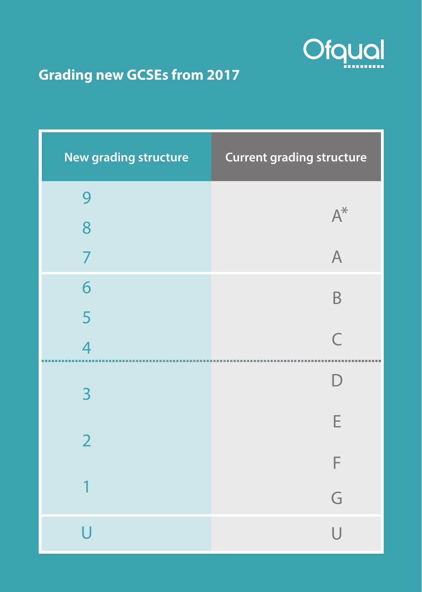

## **Grading new GCSEs from 2017**

| New grading structure | <b>Current grading structure</b> |
|-----------------------|----------------------------------|
| 9                     | $A^*$                            |
| 8                     |                                  |
| $\overline{7}$        | $\overline{A}$                   |
| 6                     | B                                |
| 5                     |                                  |
| $\overline{4}$        | $\overline{C}$                   |
| 3                     | $\overline{D}$                   |
| $\overline{2}$        | E                                |
|                       | F                                |
| 1                     | G                                |
| Ū                     | U                                |